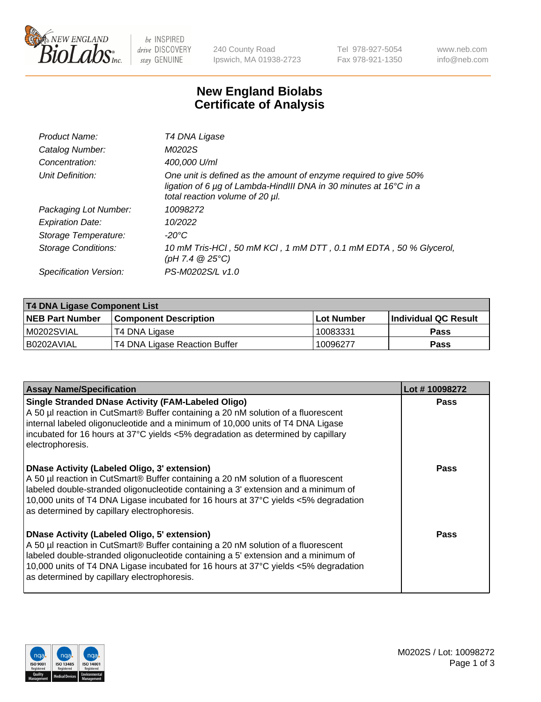

be INSPIRED drive DISCOVERY stay GENUINE

240 County Road Ipswich, MA 01938-2723 Tel 978-927-5054 Fax 978-921-1350 www.neb.com info@neb.com

## **New England Biolabs Certificate of Analysis**

| Product Name:              | T4 DNA Ligase                                                                                                                                                            |
|----------------------------|--------------------------------------------------------------------------------------------------------------------------------------------------------------------------|
| Catalog Number:            | M0202S                                                                                                                                                                   |
| Concentration:             | 400,000 U/ml                                                                                                                                                             |
| Unit Definition:           | One unit is defined as the amount of enzyme required to give 50%<br>ligation of 6 µg of Lambda-HindIII DNA in 30 minutes at 16°C in a<br>total reaction volume of 20 µl. |
| Packaging Lot Number:      | 10098272                                                                                                                                                                 |
| <b>Expiration Date:</b>    | 10/2022                                                                                                                                                                  |
| Storage Temperature:       | $-20^{\circ}$ C                                                                                                                                                          |
| <b>Storage Conditions:</b> | 10 mM Tris-HCl, 50 mM KCl, 1 mM DTT, 0.1 mM EDTA, 50 % Glycerol,<br>(pH 7.4 $@25°C$ )                                                                                    |
| Specification Version:     | PS-M0202S/L v1.0                                                                                                                                                         |

| <b>T4 DNA Ligase Component List</b> |                               |            |                      |  |
|-------------------------------------|-------------------------------|------------|----------------------|--|
| <b>NEB Part Number</b>              | <b>Component Description</b>  | Lot Number | Individual QC Result |  |
| M0202SVIAL                          | T4 DNA Ligase                 | 10083331   | <b>Pass</b>          |  |
| B0202AVIAL                          | T4 DNA Ligase Reaction Buffer | 10096277   | <b>Pass</b>          |  |

| <b>Assay Name/Specification</b>                                                                                                                                                                                                                                                                                                                                      | Lot #10098272 |
|----------------------------------------------------------------------------------------------------------------------------------------------------------------------------------------------------------------------------------------------------------------------------------------------------------------------------------------------------------------------|---------------|
| <b>Single Stranded DNase Activity (FAM-Labeled Oligo)</b><br>A 50 µl reaction in CutSmart® Buffer containing a 20 nM solution of a fluorescent<br>internal labeled oligonucleotide and a minimum of 10,000 units of T4 DNA Ligase<br>incubated for 16 hours at 37°C yields <5% degradation as determined by capillary<br>electrophoresis.                            | <b>Pass</b>   |
| <b>DNase Activity (Labeled Oligo, 3' extension)</b><br>A 50 µl reaction in CutSmart® Buffer containing a 20 nM solution of a fluorescent<br>labeled double-stranded oligonucleotide containing a 3' extension and a minimum of<br>10,000 units of T4 DNA Ligase incubated for 16 hours at 37°C yields <5% degradation<br>as determined by capillary electrophoresis. | Pass          |
| <b>DNase Activity (Labeled Oligo, 5' extension)</b><br>A 50 µl reaction in CutSmart® Buffer containing a 20 nM solution of a fluorescent<br>labeled double-stranded oligonucleotide containing a 5' extension and a minimum of<br>10,000 units of T4 DNA Ligase incubated for 16 hours at 37°C yields <5% degradation<br>as determined by capillary electrophoresis. | Pass          |

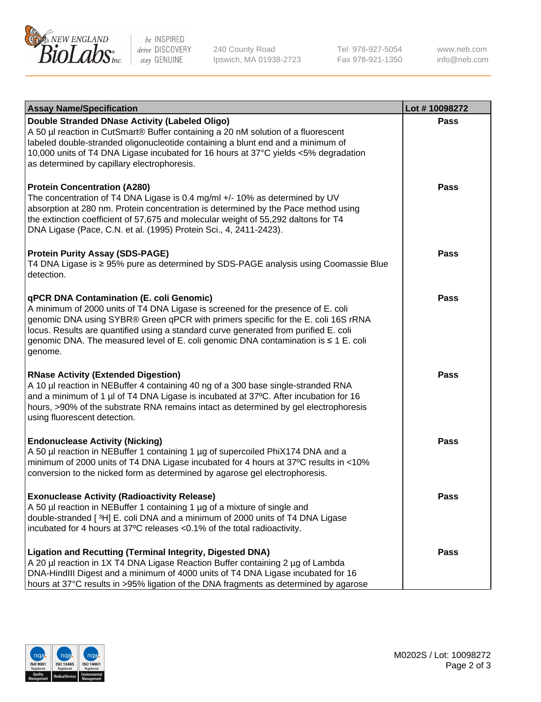

be INSPIRED drive DISCOVERY stay GENUINE

240 County Road Ipswich, MA 01938-2723 Tel 978-927-5054 Fax 978-921-1350 www.neb.com info@neb.com

| <b>Assay Name/Specification</b>                                                                                                                                                                                                                                                                                                                                                                             | Lot #10098272 |
|-------------------------------------------------------------------------------------------------------------------------------------------------------------------------------------------------------------------------------------------------------------------------------------------------------------------------------------------------------------------------------------------------------------|---------------|
| Double Stranded DNase Activity (Labeled Oligo)<br>A 50 µl reaction in CutSmart® Buffer containing a 20 nM solution of a fluorescent<br>labeled double-stranded oligonucleotide containing a blunt end and a minimum of<br>10,000 units of T4 DNA Ligase incubated for 16 hours at 37°C yields <5% degradation<br>as determined by capillary electrophoresis.                                                | <b>Pass</b>   |
| <b>Protein Concentration (A280)</b><br>The concentration of T4 DNA Ligase is 0.4 mg/ml +/- 10% as determined by UV<br>absorption at 280 nm. Protein concentration is determined by the Pace method using<br>the extinction coefficient of 57,675 and molecular weight of 55,292 daltons for T4<br>DNA Ligase (Pace, C.N. et al. (1995) Protein Sci., 4, 2411-2423).                                         | <b>Pass</b>   |
| <b>Protein Purity Assay (SDS-PAGE)</b><br>T4 DNA Ligase is ≥ 95% pure as determined by SDS-PAGE analysis using Coomassie Blue<br>detection.                                                                                                                                                                                                                                                                 | <b>Pass</b>   |
| qPCR DNA Contamination (E. coli Genomic)<br>A minimum of 2000 units of T4 DNA Ligase is screened for the presence of E. coli<br>genomic DNA using SYBR® Green qPCR with primers specific for the E. coli 16S rRNA<br>locus. Results are quantified using a standard curve generated from purified E. coli<br>genomic DNA. The measured level of E. coli genomic DNA contamination is ≤ 1 E. coli<br>genome. | Pass          |
| <b>RNase Activity (Extended Digestion)</b><br>A 10 µl reaction in NEBuffer 4 containing 40 ng of a 300 base single-stranded RNA<br>and a minimum of 1 µl of T4 DNA Ligase is incubated at 37°C. After incubation for 16<br>hours, >90% of the substrate RNA remains intact as determined by gel electrophoresis<br>using fluorescent detection.                                                             | Pass          |
| <b>Endonuclease Activity (Nicking)</b><br>A 50 µl reaction in NEBuffer 1 containing 1 µg of supercoiled PhiX174 DNA and a<br>minimum of 2000 units of T4 DNA Ligase incubated for 4 hours at 37°C results in <10%<br>conversion to the nicked form as determined by agarose gel electrophoresis.                                                                                                            | <b>Pass</b>   |
| <b>Exonuclease Activity (Radioactivity Release)</b><br>A 50 µl reaction in NEBuffer 1 containing 1 µg of a mixture of single and<br>double-stranded [3H] E. coli DNA and a minimum of 2000 units of T4 DNA Ligase<br>incubated for 4 hours at 37°C releases <0.1% of the total radioactivity.                                                                                                               | Pass          |
| <b>Ligation and Recutting (Terminal Integrity, Digested DNA)</b><br>A 20 µl reaction in 1X T4 DNA Ligase Reaction Buffer containing 2 µg of Lambda<br>DNA-HindIII Digest and a minimum of 4000 units of T4 DNA Ligase incubated for 16<br>hours at 37°C results in >95% ligation of the DNA fragments as determined by agarose                                                                              | <b>Pass</b>   |